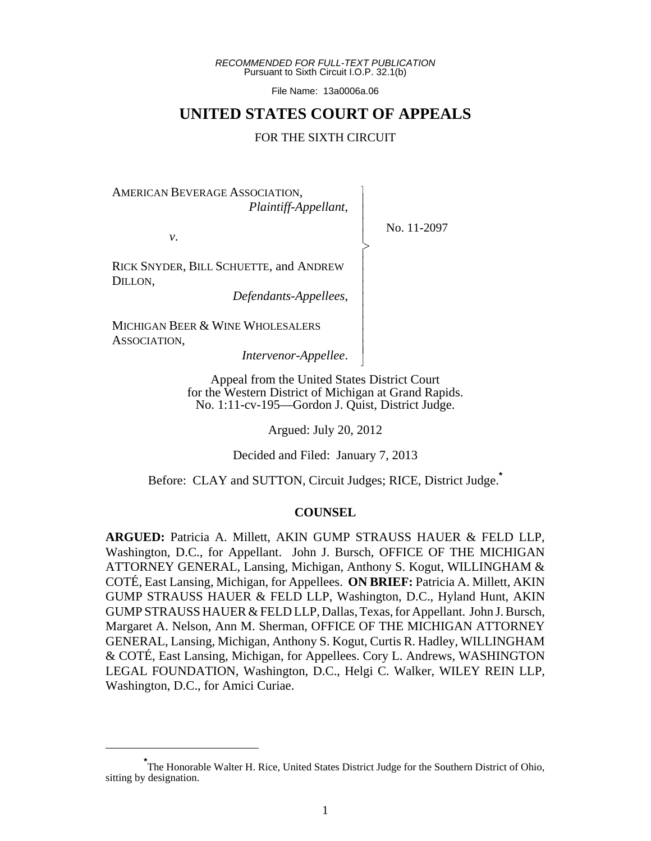*RECOMMENDED FOR FULL-TEXT PUBLICATION* Pursuant to Sixth Circuit I.O.P. 32.1(b)

File Name: 13a0006a.06

# **UNITED STATES COURT OF APPEALS**

#### FOR THE SIXTH CIRCUIT

 $\overline{\phantom{a}}$ - - - > , - - - - - - - - N

AMERICAN BEVERAGE ASSOCIATION, *Plaintiff-Appellant*,

*v*.

No. 11-2097

RICK SNYDER, BILL SCHUETTE, and ANDREW DILLON,

*Defendants-Appellees*,

MICHIGAN BEER & WINE WHOLESALERS ASSOCIATION,

*Intervenor-Appellee*.

Appeal from the United States District Court for the Western District of Michigan at Grand Rapids. No. 1:11-cv-195—Gordon J. Quist, District Judge.

Argued: July 20, 2012

Decided and Filed: January 7, 2013

Before: CLAY and SUTTON, Circuit Judges; RICE, District Judge.**\***

#### **COUNSEL**

**ARGUED:** Patricia A. Millett, AKIN GUMP STRAUSS HAUER & FELD LLP, Washington, D.C., for Appellant. John J. Bursch, OFFICE OF THE MICHIGAN ATTORNEY GENERAL, Lansing, Michigan, Anthony S. Kogut, WILLINGHAM & COTÉ, East Lansing, Michigan, for Appellees. **ON BRIEF:** Patricia A. Millett, AKIN GUMP STRAUSS HAUER & FELD LLP, Washington, D.C., Hyland Hunt, AKIN GUMP STRAUSS HAUER & FELD LLP, Dallas, Texas, for Appellant. John J. Bursch, Margaret A. Nelson, Ann M. Sherman, OFFICE OF THE MICHIGAN ATTORNEY GENERAL, Lansing, Michigan, Anthony S. Kogut, Curtis R. Hadley, WILLINGHAM & COTÉ, East Lansing, Michigan, for Appellees. Cory L. Andrews, WASHINGTON LEGAL FOUNDATION, Washington, D.C., Helgi C. Walker, WILEY REIN LLP, Washington, D.C., for Amici Curiae.

**<sup>\*</sup>** The Honorable Walter H. Rice, United States District Judge for the Southern District of Ohio, sitting by designation.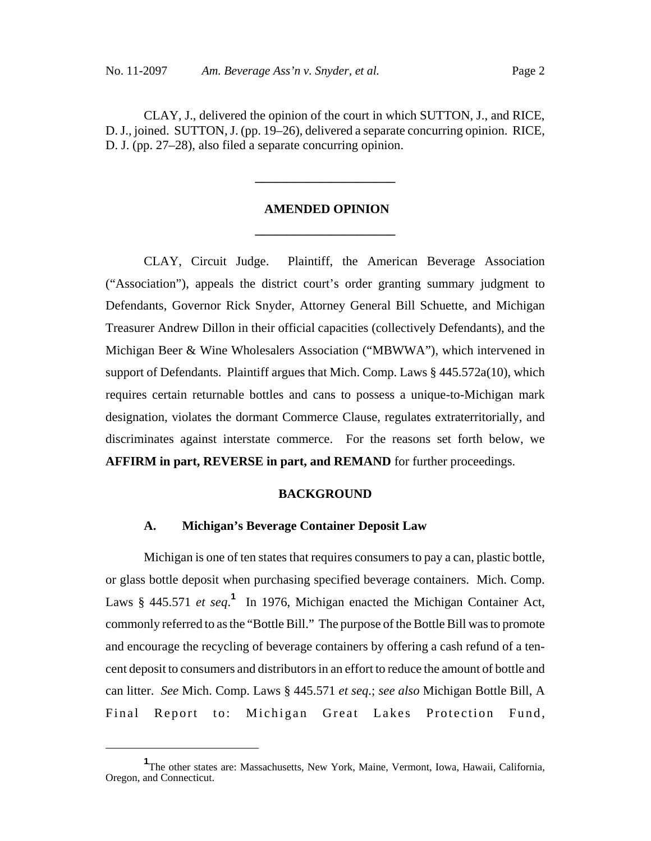CLAY, J., delivered the opinion of the court in which SUTTON, J., and RICE, D. J., joined. SUTTON, J. (pp. 19–26), delivered a separate concurring opinion. RICE, D. J. (pp. 27–28), also filed a separate concurring opinion.

# **AMENDED OPINION \_\_\_\_\_\_\_\_\_\_\_\_\_\_\_\_\_\_\_\_\_\_**

**\_\_\_\_\_\_\_\_\_\_\_\_\_\_\_\_\_\_\_\_\_\_**

CLAY, Circuit Judge. Plaintiff, the American Beverage Association ("Association"), appeals the district court's order granting summary judgment to Defendants, Governor Rick Snyder, Attorney General Bill Schuette, and Michigan Treasurer Andrew Dillon in their official capacities (collectively Defendants), and the Michigan Beer & Wine Wholesalers Association ("MBWWA"), which intervened in support of Defendants. Plaintiff argues that Mich. Comp. Laws § 445.572a(10), which requires certain returnable bottles and cans to possess a unique-to-Michigan mark designation, violates the dormant Commerce Clause, regulates extraterritorially, and discriminates against interstate commerce. For the reasons set forth below, we **AFFIRM in part, REVERSE in part, and REMAND** for further proceedings.

#### **BACKGROUND**

#### **A. Michigan's Beverage Container Deposit Law**

Michigan is one of ten states that requires consumers to pay a can, plastic bottle, or glass bottle deposit when purchasing specified beverage containers. Mich. Comp. Laws § 445.571 *et seq*.<sup>1</sup> In 1976, Michigan enacted the Michigan Container Act, commonly referred to as the "Bottle Bill." The purpose of the Bottle Bill was to promote and encourage the recycling of beverage containers by offering a cash refund of a tencent deposit to consumers and distributors in an effort to reduce the amount of bottle and can litter. *See* Mich. Comp. Laws § 445.571 *et seq*.; *see also* Michigan Bottle Bill, A Final Report to: Michigan Great Lakes Protection Fund,

**<sup>1</sup>** The other states are: Massachusetts, New York, Maine, Vermont, Iowa, Hawaii, California, Oregon, and Connecticut.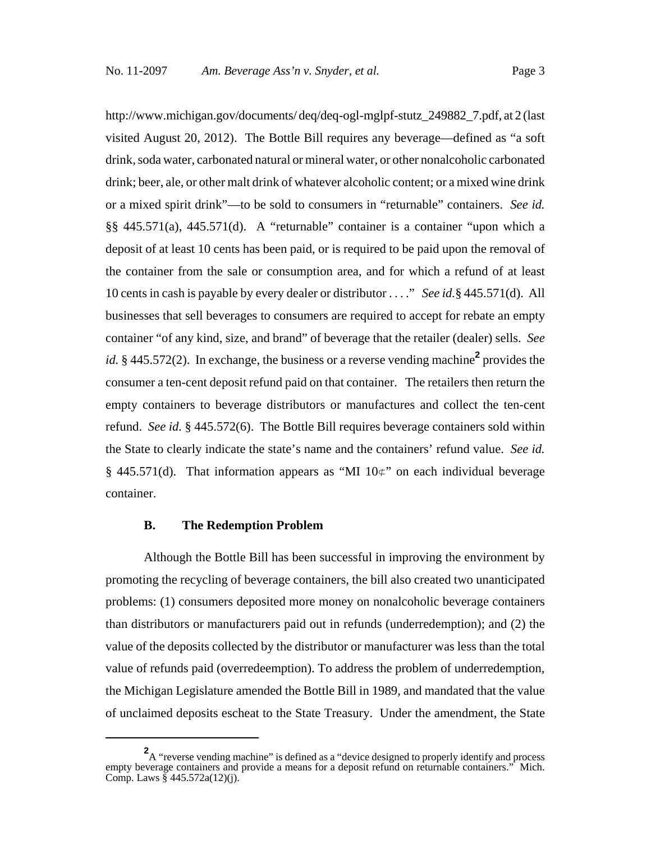http://www.michigan.gov/documents/ deq/deq-ogl-mglpf-stutz\_249882\_7.pdf, at 2 (last visited August 20, 2012). The Bottle Bill requires any beverage—defined as "a soft drink, soda water, carbonated natural or mineral water, or other nonalcoholic carbonated drink; beer, ale, or other malt drink of whatever alcoholic content; or a mixed wine drink or a mixed spirit drink"—to be sold to consumers in "returnable" containers. *See id.* §§ 445.571(a), 445.571(d). A "returnable" container is a container "upon which a deposit of at least 10 cents has been paid, or is required to be paid upon the removal of the container from the sale or consumption area, and for which a refund of at least 10 cents in cash is payable by every dealer or distributor . . . ." *See id.*§ 445.571(d). All businesses that sell beverages to consumers are required to accept for rebate an empty container "of any kind, size, and brand" of beverage that the retailer (dealer) sells. *See id.* § 445.572(2). In exchange, the business or a reverse vending machine<sup>2</sup> provides the consumer a ten-cent deposit refund paid on that container. The retailers then return the empty containers to beverage distributors or manufactures and collect the ten-cent refund. *See id.* § 445.572(6). The Bottle Bill requires beverage containers sold within the State to clearly indicate the state's name and the containers' refund value. *See id.* § 445.571(d). That information appears as "MI  $10\not\in$ " on each individual beverage container.

### **B. The Redemption Problem**

Although the Bottle Bill has been successful in improving the environment by promoting the recycling of beverage containers, the bill also created two unanticipated problems: (1) consumers deposited more money on nonalcoholic beverage containers than distributors or manufacturers paid out in refunds (underredemption); and (2) the value of the deposits collected by the distributor or manufacturer was less than the total value of refunds paid (overredeemption). To address the problem of underredemption, the Michigan Legislature amended the Bottle Bill in 1989, and mandated that the value of unclaimed deposits escheat to the State Treasury. Under the amendment, the State

<sup>&</sup>lt;sup>2</sup>A "reverse vending machine" is defined as a "device designed to properly identify and process empty beverage containers and provide a means for a deposit refund on returnable containers." Mich. Comp. Laws  $\frac{8}{9}$  445.572a(12)(j).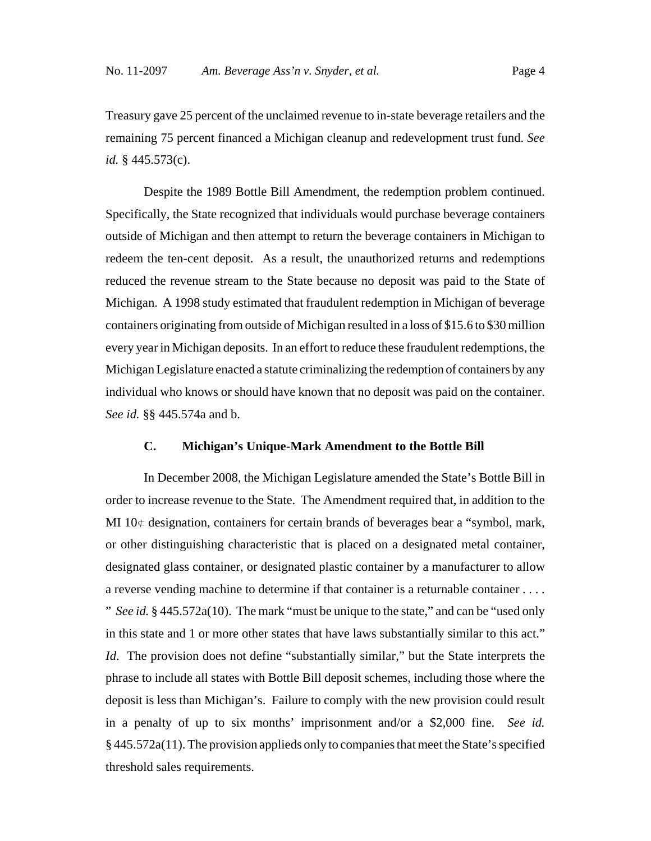Treasury gave 25 percent of the unclaimed revenue to in-state beverage retailers and the remaining 75 percent financed a Michigan cleanup and redevelopment trust fund. *See id.* § 445.573(c).

Despite the 1989 Bottle Bill Amendment, the redemption problem continued. Specifically, the State recognized that individuals would purchase beverage containers outside of Michigan and then attempt to return the beverage containers in Michigan to redeem the ten-cent deposit. As a result, the unauthorized returns and redemptions reduced the revenue stream to the State because no deposit was paid to the State of Michigan. A 1998 study estimated that fraudulent redemption in Michigan of beverage containers originating from outside of Michigan resulted in a loss of \$15.6 to \$30 million every year in Michigan deposits. In an effort to reduce these fraudulent redemptions, the Michigan Legislature enacted a statute criminalizing the redemption of containers by any individual who knows or should have known that no deposit was paid on the container. *See id.* §§ 445.574a and b.

### **C. Michigan's Unique-Mark Amendment to the Bottle Bill**

In December 2008, the Michigan Legislature amended the State's Bottle Bill in order to increase revenue to the State. The Amendment required that, in addition to the MI  $10 \notin$  designation, containers for certain brands of beverages bear a "symbol, mark, or other distinguishing characteristic that is placed on a designated metal container, designated glass container, or designated plastic container by a manufacturer to allow a reverse vending machine to determine if that container is a returnable container . . . . " *See id.* § 445.572a(10). The mark "must be unique to the state," and can be "used only in this state and 1 or more other states that have laws substantially similar to this act." *Id*. The provision does not define "substantially similar," but the State interprets the phrase to include all states with Bottle Bill deposit schemes, including those where the deposit is less than Michigan's. Failure to comply with the new provision could result in a penalty of up to six months' imprisonment and/or a \$2,000 fine. *See id.* § 445.572a(11). The provision applieds only to companies that meet the State's specified threshold sales requirements.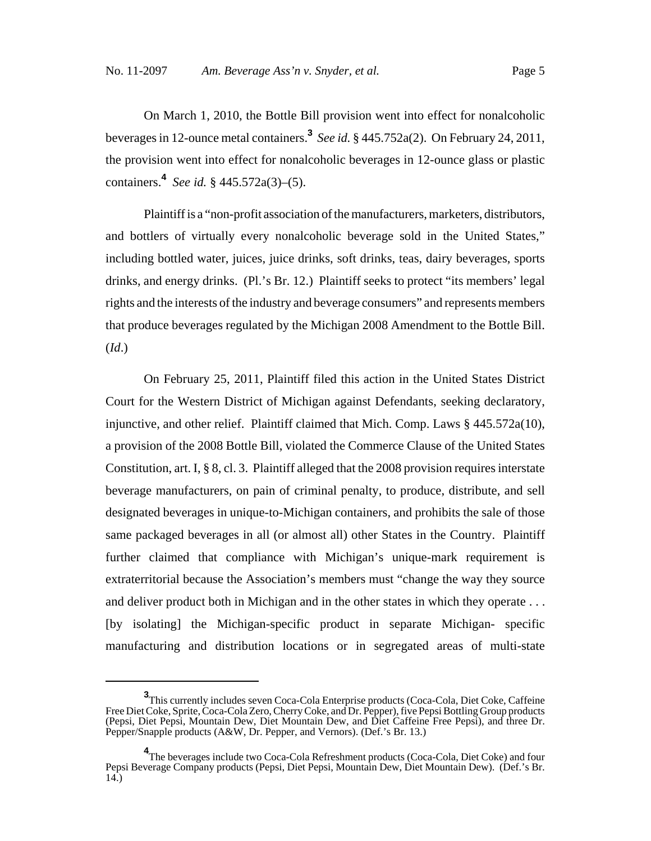On March 1, 2010, the Bottle Bill provision went into effect for nonalcoholic beverages in 12-ounce metal containers.**<sup>3</sup>** *See id.* § 445.752a(2). On February 24, 2011, the provision went into effect for nonalcoholic beverages in 12-ounce glass or plastic containers.**4** *See id.* § 445.572a(3)–(5).

Plaintiff is a "non-profit association of the manufacturers, marketers, distributors, and bottlers of virtually every nonalcoholic beverage sold in the United States," including bottled water, juices, juice drinks, soft drinks, teas, dairy beverages, sports drinks, and energy drinks. (Pl.'s Br. 12.) Plaintiff seeks to protect "its members' legal rights and the interests of the industry and beverage consumers" and represents members that produce beverages regulated by the Michigan 2008 Amendment to the Bottle Bill. (*Id*.)

On February 25, 2011, Plaintiff filed this action in the United States District Court for the Western District of Michigan against Defendants, seeking declaratory, injunctive, and other relief. Plaintiff claimed that Mich. Comp. Laws § 445.572a(10), a provision of the 2008 Bottle Bill, violated the Commerce Clause of the United States Constitution, art. I,  $\S$  8, cl. 3. Plaintiff alleged that the 2008 provision requires interstate beverage manufacturers, on pain of criminal penalty, to produce, distribute, and sell designated beverages in unique-to-Michigan containers, and prohibits the sale of those same packaged beverages in all (or almost all) other States in the Country. Plaintiff further claimed that compliance with Michigan's unique-mark requirement is extraterritorial because the Association's members must "change the way they source and deliver product both in Michigan and in the other states in which they operate . . . [by isolating] the Michigan-specific product in separate Michigan- specific manufacturing and distribution locations or in segregated areas of multi-state

**<sup>3</sup>** This currently includes seven Coca-Cola Enterprise products (Coca-Cola, Diet Coke, Caffeine Free Diet Coke, Sprite, Coca-Cola Zero, Cherry Coke, and Dr. Pepper), five Pepsi Bottling Group products (Pepsi, Diet Pepsi, Mountain Dew, Diet Mountain Dew, and Diet Caffeine Free Pepsi), and three Dr. Pepper/Snapple products (A&W, Dr. Pepper, and Vernors). (Def.'s Br. 13.)

**<sup>4</sup>** The beverages include two Coca-Cola Refreshment products (Coca-Cola, Diet Coke) and four Pepsi Beverage Company products (Pepsi, Diet Pepsi, Mountain Dew, Diet Mountain Dew). (Def.'s Br. 14.)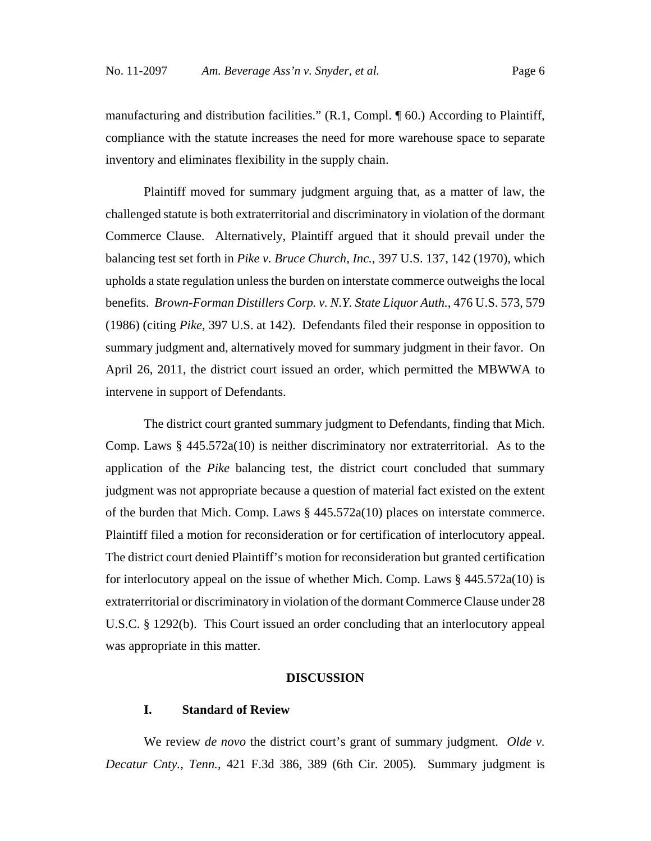manufacturing and distribution facilities." (R.1, Compl. ¶ 60.) According to Plaintiff, compliance with the statute increases the need for more warehouse space to separate inventory and eliminates flexibility in the supply chain.

Plaintiff moved for summary judgment arguing that, as a matter of law, the challenged statute is both extraterritorial and discriminatory in violation of the dormant Commerce Clause. Alternatively, Plaintiff argued that it should prevail under the balancing test set forth in *Pike v. Bruce Church, Inc.*, 397 U.S. 137, 142 (1970), which upholds a state regulation unless the burden on interstate commerce outweighs the local benefits. *Brown-Forman Distillers Corp. v. N.Y. State Liquor Auth.*, 476 U.S. 573, 579 (1986) (citing *Pike*, 397 U.S. at 142). Defendants filed their response in opposition to summary judgment and, alternatively moved for summary judgment in their favor. On April 26, 2011, the district court issued an order, which permitted the MBWWA to intervene in support of Defendants.

The district court granted summary judgment to Defendants, finding that Mich. Comp. Laws § 445.572a(10) is neither discriminatory nor extraterritorial. As to the application of the *Pike* balancing test, the district court concluded that summary judgment was not appropriate because a question of material fact existed on the extent of the burden that Mich. Comp. Laws § 445.572a(10) places on interstate commerce. Plaintiff filed a motion for reconsideration or for certification of interlocutory appeal. The district court denied Plaintiff's motion for reconsideration but granted certification for interlocutory appeal on the issue of whether Mich. Comp. Laws § 445.572a(10) is extraterritorial or discriminatory in violation of the dormant Commerce Clause under 28 U.S.C. § 1292(b). This Court issued an order concluding that an interlocutory appeal was appropriate in this matter.

#### **DISCUSSION**

#### **I. Standard of Review**

We review *de novo* the district court's grant of summary judgment. *Olde v. Decatur Cnty., Tenn.*, 421 F.3d 386, 389 (6th Cir. 2005)*.* Summary judgment is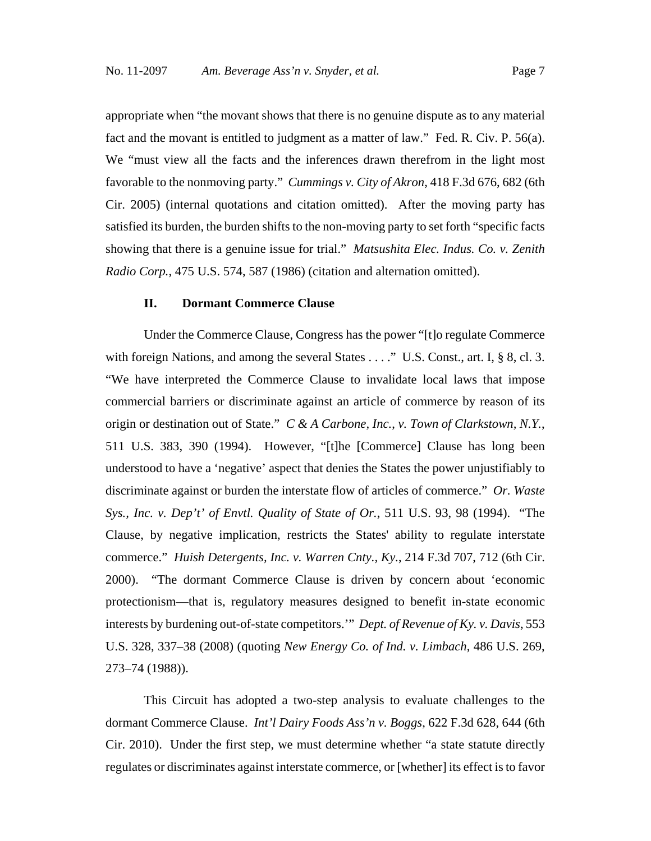appropriate when "the movant shows that there is no genuine dispute as to any material fact and the movant is entitled to judgment as a matter of law." Fed. R. Civ. P. 56(a). We "must view all the facts and the inferences drawn therefrom in the light most favorable to the nonmoving party." *Cummings v. City of Akron*, 418 F.3d 676, 682 (6th Cir. 2005) (internal quotations and citation omitted). After the moving party has satisfied its burden, the burden shifts to the non-moving party to set forth "specific facts showing that there is a genuine issue for trial." *Matsushita Elec. Indus. Co. v. Zenith Radio Corp.*, 475 U.S. 574, 587 (1986) (citation and alternation omitted).

#### **II. Dormant Commerce Clause**

Under the Commerce Clause, Congress has the power "[t]o regulate Commerce with foreign Nations, and among the several States . . . ." U.S. Const., art. I, § 8, cl. 3. "We have interpreted the Commerce Clause to invalidate local laws that impose commercial barriers or discriminate against an article of commerce by reason of its origin or destination out of State." *C & A Carbone, Inc.*, *v. Town of Clarkstown, N.Y.*, 511 U.S. 383, 390 (1994). However, "[t]he [Commerce] Clause has long been understood to have a 'negative' aspect that denies the States the power unjustifiably to discriminate against or burden the interstate flow of articles of commerce." *Or. Waste Sys., Inc. v. Dep't' of Envtl. Quality of State of Or.*, 511 U.S. 93, 98 (1994). "The Clause, by negative implication, restricts the States' ability to regulate interstate commerce." *Huish Detergents, Inc. v. Warren Cnty., Ky.*, 214 F.3d 707, 712 (6th Cir. 2000). "The dormant Commerce Clause is driven by concern about 'economic protectionism—that is, regulatory measures designed to benefit in-state economic interests by burdening out-of-state competitors.'" *Dept. of Revenue of Ky. v. Davis*, 553 U.S. 328, 337–38 (2008) (quoting *New Energy Co. of Ind. v. Limbach*, 486 U.S. 269, 273–74 (1988)).

This Circuit has adopted a two-step analysis to evaluate challenges to the dormant Commerce Clause. *Int'l Dairy Foods Ass'n v. Boggs*, 622 F.3d 628, 644 (6th Cir. 2010). Under the first step, we must determine whether "a state statute directly regulates or discriminates against interstate commerce, or [whether] its effect is to favor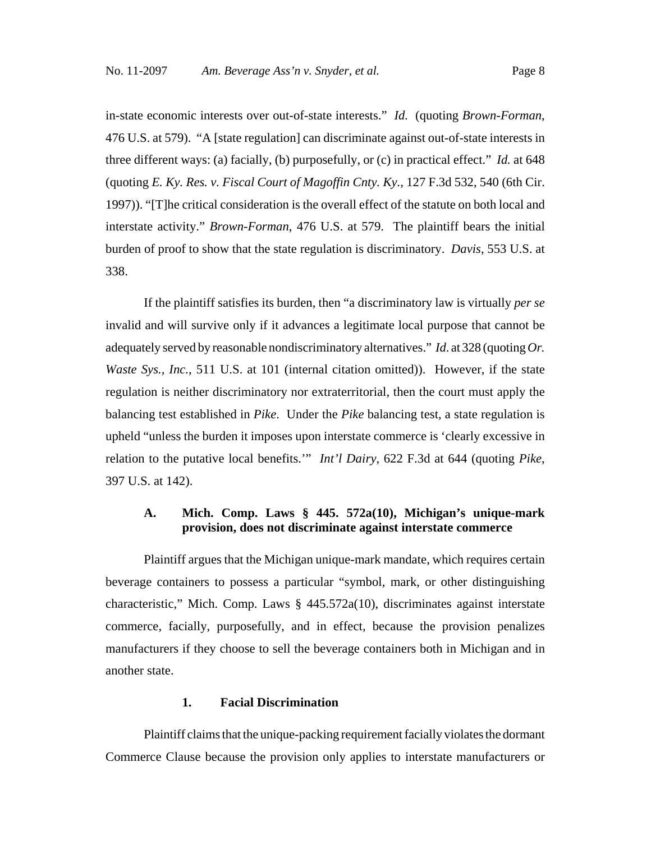in-state economic interests over out-of-state interests." *Id.* (quoting *Brown-Forman*, 476 U.S. at 579). "A [state regulation] can discriminate against out-of-state interests in three different ways: (a) facially, (b) purposefully, or (c) in practical effect." *Id.* at 648 (quoting *E. Ky. Res. v. Fiscal Court of Magoffin Cnty. Ky.*, 127 F.3d 532, 540 (6th Cir. 1997)). "[T]he critical consideration is the overall effect of the statute on both local and interstate activity." *Brown-Forman*, 476 U.S. at 579. The plaintiff bears the initial burden of proof to show that the state regulation is discriminatory. *Davis*, 553 U.S. at 338.

If the plaintiff satisfies its burden, then "a discriminatory law is virtually *per se* invalid and will survive only if it advances a legitimate local purpose that cannot be adequately served by reasonable nondiscriminatory alternatives." *Id*. at 328 (quoting *Or. Waste Sys., Inc.*, 511 U.S. at 101 (internal citation omitted)). However, if the state regulation is neither discriminatory nor extraterritorial, then the court must apply the balancing test established in *Pike*. Under the *Pike* balancing test, a state regulation is upheld "unless the burden it imposes upon interstate commerce is 'clearly excessive in relation to the putative local benefits.'" *Int'l Dairy*, 622 F.3d at 644 (quoting *Pike*, 397 U.S. at 142).

### **A. Mich. Comp. Laws § 445. 572a(10), Michigan's unique-mark provision, does not discriminate against interstate commerce**

Plaintiff argues that the Michigan unique-mark mandate, which requires certain beverage containers to possess a particular "symbol, mark, or other distinguishing characteristic," Mich. Comp. Laws § 445.572a(10), discriminates against interstate commerce, facially, purposefully, and in effect, because the provision penalizes manufacturers if they choose to sell the beverage containers both in Michigan and in another state.

#### **1. Facial Discrimination**

Plaintiff claims that the unique-packing requirement facially violates the dormant Commerce Clause because the provision only applies to interstate manufacturers or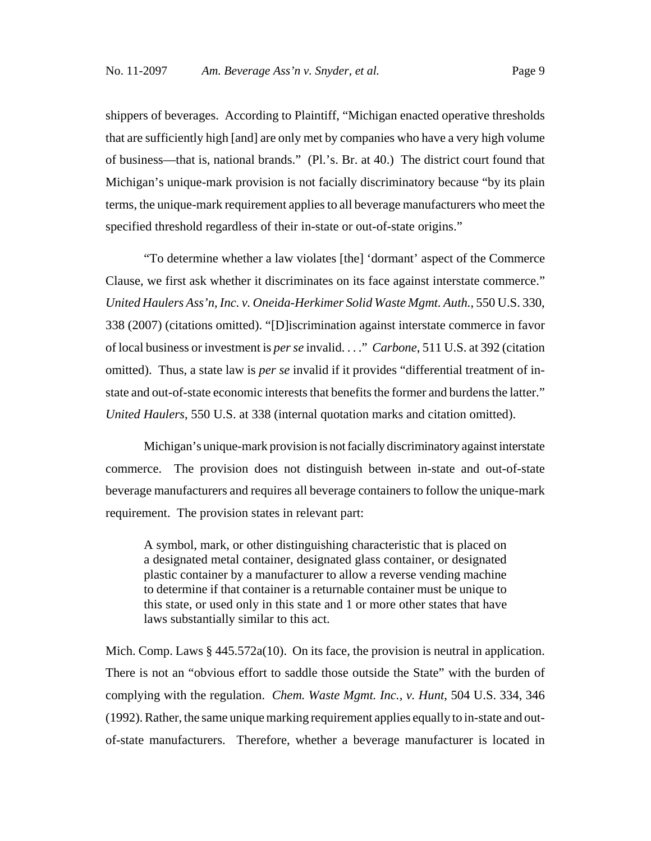shippers of beverages. According to Plaintiff, "Michigan enacted operative thresholds that are sufficiently high [and] are only met by companies who have a very high volume of business—that is, national brands." (Pl.'s. Br. at 40.) The district court found that Michigan's unique-mark provision is not facially discriminatory because "by its plain terms, the unique-mark requirement applies to all beverage manufacturers who meet the specified threshold regardless of their in-state or out-of-state origins."

"To determine whether a law violates [the] 'dormant' aspect of the Commerce Clause, we first ask whether it discriminates on its face against interstate commerce." *United Haulers Ass'n, Inc. v. Oneida-Herkimer Solid Waste Mgmt. Auth.*, 550 U.S. 330, 338 (2007) (citations omitted). "[D]iscrimination against interstate commerce in favor of local business or investment is *per se* invalid. . . ." *Carbone*, 511 U.S. at 392 (citation omitted). Thus, a state law is *per se* invalid if it provides "differential treatment of instate and out-of-state economic interests that benefits the former and burdens the latter." *United Haulers*, 550 U.S. at 338 (internal quotation marks and citation omitted).

Michigan's unique-mark provision is not facially discriminatory against interstate commerce. The provision does not distinguish between in-state and out-of-state beverage manufacturers and requires all beverage containers to follow the unique-mark requirement. The provision states in relevant part:

A symbol, mark, or other distinguishing characteristic that is placed on a designated metal container, designated glass container, or designated plastic container by a manufacturer to allow a reverse vending machine to determine if that container is a returnable container must be unique to this state, or used only in this state and 1 or more other states that have laws substantially similar to this act.

Mich. Comp. Laws § 445.572a(10). On its face, the provision is neutral in application. There is not an "obvious effort to saddle those outside the State" with the burden of complying with the regulation. *Chem. Waste Mgmt. Inc., v. Hunt*, 504 U.S. 334, 346 (1992). Rather, the same unique marking requirement applies equally to in-state and outof-state manufacturers. Therefore, whether a beverage manufacturer is located in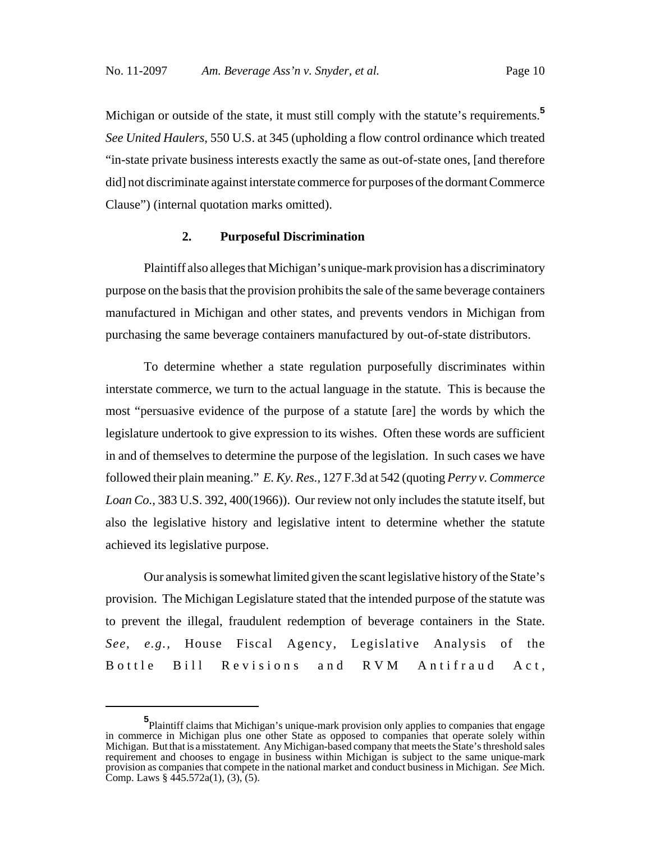Michigan or outside of the state, it must still comply with the statute's requirements.<sup>5</sup> *See United Haulers*, 550 U.S. at 345 (upholding a flow control ordinance which treated "in-state private business interests exactly the same as out-of-state ones, [and therefore did] not discriminate against interstate commerce for purposes of the dormant Commerce Clause") (internal quotation marks omitted).

#### **2. Purposeful Discrimination**

Plaintiff also alleges that Michigan's unique-mark provision has a discriminatory purpose on the basis that the provision prohibits the sale of the same beverage containers manufactured in Michigan and other states, and prevents vendors in Michigan from purchasing the same beverage containers manufactured by out-of-state distributors.

To determine whether a state regulation purposefully discriminates within interstate commerce, we turn to the actual language in the statute. This is because the most "persuasive evidence of the purpose of a statute [are] the words by which the legislature undertook to give expression to its wishes. Often these words are sufficient in and of themselves to determine the purpose of the legislation. In such cases we have followed their plain meaning." *E. Ky. Res.,* 127 F.3d at 542 (quoting *Perry v. Commerce Loan Co.*, 383 U.S. 392, 400(1966)). Our review not only includes the statute itself, but also the legislative history and legislative intent to determine whether the statute achieved its legislative purpose.

Our analysis is somewhat limited given the scant legislative history of the State's provision. The Michigan Legislature stated that the intended purpose of the statute was to prevent the illegal, fraudulent redemption of beverage containers in the State. *See, e.g.,* House Fiscal Agency, Legislative Analysis of the Bottle Bill Revisions and RVM Antifraud Act,

**<sup>5</sup>** Plaintiff claims that Michigan's unique-mark provision only applies to companies that engage in commerce in Michigan plus one other State as opposed to companies that operate solely within Michigan. But that is a misstatement. Any Michigan-based company that meets the State's threshold sales requirement and chooses to engage in business within Michigan is subject to the same unique-mark provision as companies that compete in the national market and conduct business in Michigan. *See* Mich. Comp. Laws  $\S$  445.572a(1), (3), (5).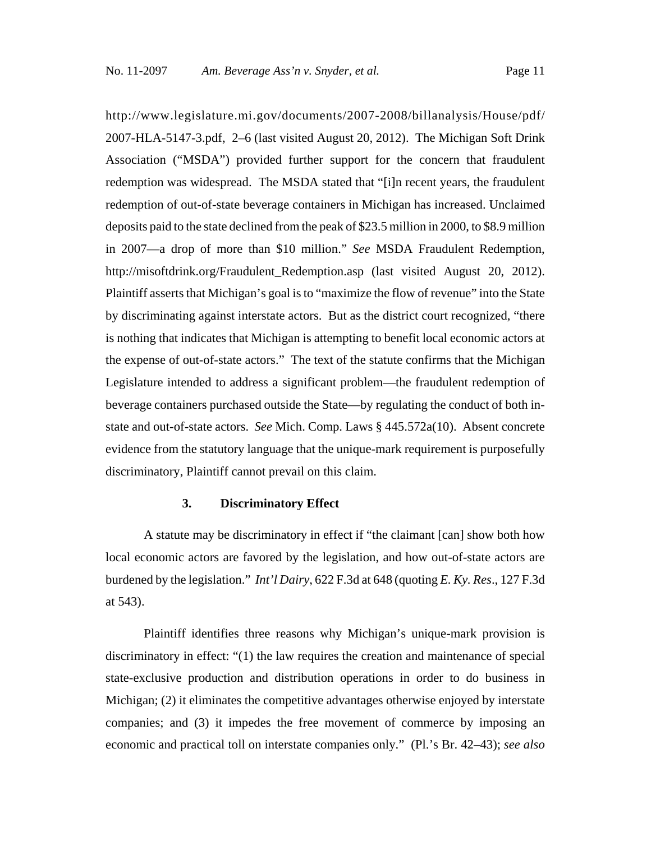http://www.legislature.mi.gov/documents/2007-2008/billanalysis/House/pdf/ 2007-HLA-5147-3.pdf, 2–6 (last visited August 20, 2012). The Michigan Soft Drink Association ("MSDA") provided further support for the concern that fraudulent redemption was widespread. The MSDA stated that "[i]n recent years, the fraudulent redemption of out-of-state beverage containers in Michigan has increased. Unclaimed deposits paid to the state declined from the peak of \$23.5 million in 2000, to \$8.9 million in 2007—a drop of more than \$10 million." *See* MSDA Fraudulent Redemption, http://misoftdrink.org/Fraudulent\_Redemption.asp (last visited August 20, 2012). Plaintiff asserts that Michigan's goal is to "maximize the flow of revenue" into the State by discriminating against interstate actors. But as the district court recognized, "there is nothing that indicates that Michigan is attempting to benefit local economic actors at the expense of out-of-state actors." The text of the statute confirms that the Michigan Legislature intended to address a significant problem—the fraudulent redemption of beverage containers purchased outside the State—by regulating the conduct of both instate and out-of-state actors. *See* Mich. Comp. Laws § 445.572a(10). Absent concrete evidence from the statutory language that the unique-mark requirement is purposefully discriminatory, Plaintiff cannot prevail on this claim.

### **3. Discriminatory Effect**

A statute may be discriminatory in effect if "the claimant [can] show both how local economic actors are favored by the legislation, and how out-of-state actors are burdened by the legislation." *Int'l Dairy*, 622 F.3d at 648 (quoting *E. Ky. Res*., 127 F.3d at 543).

Plaintiff identifies three reasons why Michigan's unique-mark provision is discriminatory in effect: "(1) the law requires the creation and maintenance of special state-exclusive production and distribution operations in order to do business in Michigan; (2) it eliminates the competitive advantages otherwise enjoyed by interstate companies; and (3) it impedes the free movement of commerce by imposing an economic and practical toll on interstate companies only." (Pl.'s Br. 42–43); *see also*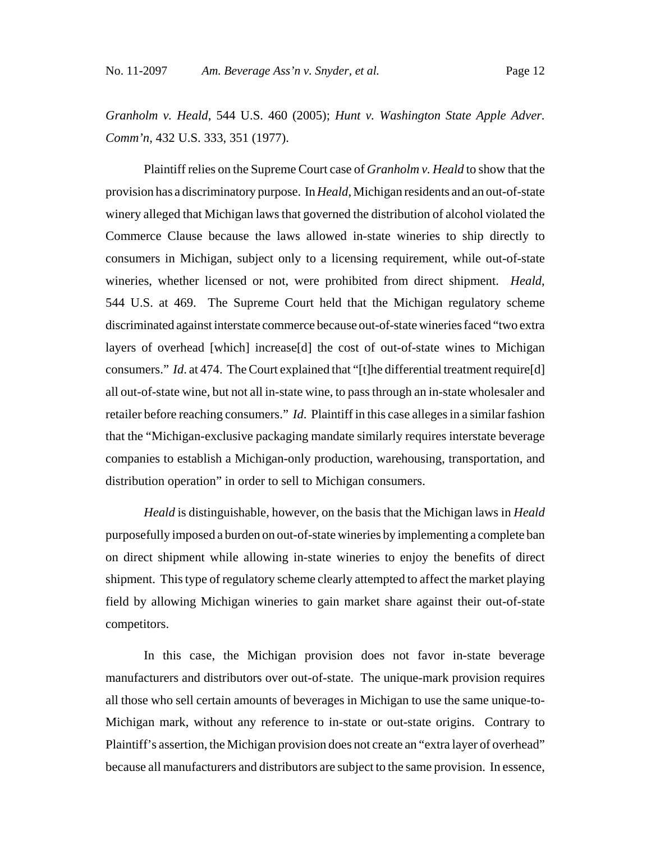*Granholm v. Heald*, 544 U.S. 460 (2005); *Hunt v. Washington State Apple Adver. Comm'n*, 432 U.S. 333, 351 (1977).

Plaintiff relies on the Supreme Court case of *Granholm v. Heald* to show that the provision has a discriminatory purpose. In *Heald*, Michigan residents and an out-of-state winery alleged that Michigan laws that governed the distribution of alcohol violated the Commerce Clause because the laws allowed in-state wineries to ship directly to consumers in Michigan, subject only to a licensing requirement, while out-of-state wineries, whether licensed or not, were prohibited from direct shipment. *Heald*, 544 U.S. at 469. The Supreme Court held that the Michigan regulatory scheme discriminated against interstate commerce because out-of-state wineries faced "two extra layers of overhead [which] increase[d] the cost of out-of-state wines to Michigan consumers." *Id*. at 474. The Court explained that "[t]he differential treatment require[d] all out-of-state wine, but not all in-state wine, to pass through an in-state wholesaler and retailer before reaching consumers." *Id*. Plaintiff in this case alleges in a similar fashion that the "Michigan-exclusive packaging mandate similarly requires interstate beverage companies to establish a Michigan-only production, warehousing, transportation, and distribution operation" in order to sell to Michigan consumers.

*Heald* is distinguishable, however, on the basis that the Michigan laws in *Heald* purposefully imposed a burden on out-of-state wineries by implementing a complete ban on direct shipment while allowing in-state wineries to enjoy the benefits of direct shipment. This type of regulatory scheme clearly attempted to affect the market playing field by allowing Michigan wineries to gain market share against their out-of-state competitors.

In this case, the Michigan provision does not favor in-state beverage manufacturers and distributors over out-of-state. The unique-mark provision requires all those who sell certain amounts of beverages in Michigan to use the same unique-to-Michigan mark, without any reference to in-state or out-state origins. Contrary to Plaintiff's assertion, the Michigan provision does not create an "extra layer of overhead" because all manufacturers and distributors are subject to the same provision. In essence,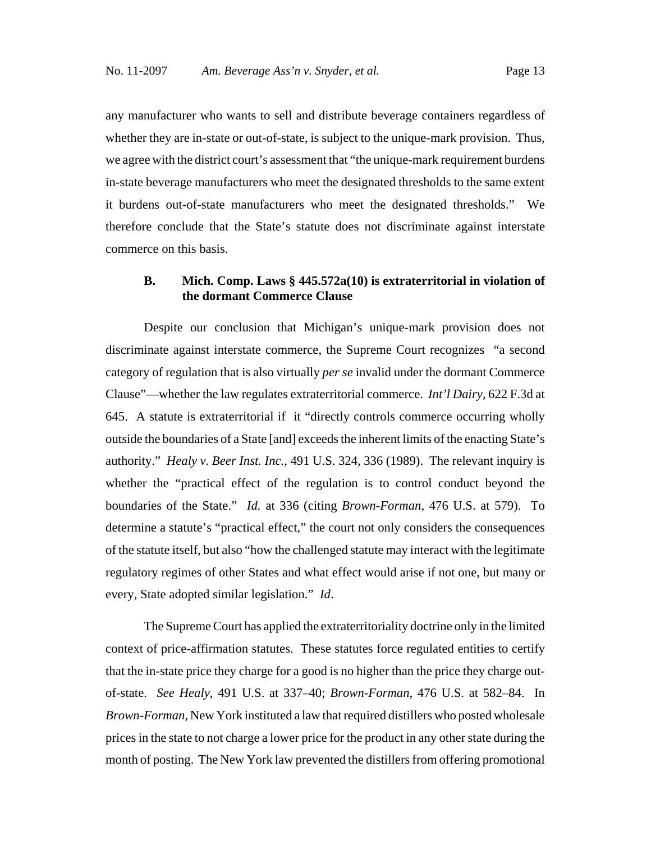any manufacturer who wants to sell and distribute beverage containers regardless of whether they are in-state or out-of-state, is subject to the unique-mark provision. Thus, we agree with the district court's assessment that "the unique-mark requirement burdens in-state beverage manufacturers who meet the designated thresholds to the same extent it burdens out-of-state manufacturers who meet the designated thresholds." We therefore conclude that the State's statute does not discriminate against interstate commerce on this basis.

# **B. Mich. Comp. Laws § 445.572a(10) is extraterritorial in violation of the dormant Commerce Clause**

Despite our conclusion that Michigan's unique-mark provision does not discriminate against interstate commerce, the Supreme Court recognizes "a second category of regulation that is also virtually *per se* invalid under the dormant Commerce Clause"—whether the law regulates extraterritorial commerce. *Int'l Dairy*, 622 F.3d at 645. A statute is extraterritorial if it "directly controls commerce occurring wholly outside the boundaries of a State [and] exceeds the inherent limits of the enacting State's authority." *Healy v. Beer Inst. Inc.*, 491 U.S. 324, 336 (1989). The relevant inquiry is whether the "practical effect of the regulation is to control conduct beyond the boundaries of the State." *Id.* at 336 (citing *Brown-Forman*, 476 U.S. at 579). To determine a statute's "practical effect," the court not only considers the consequences of the statute itself, but also "how the challenged statute may interact with the legitimate regulatory regimes of other States and what effect would arise if not one, but many or every, State adopted similar legislation." *Id*.

The Supreme Court has applied the extraterritoriality doctrine only in the limited context of price-affirmation statutes. These statutes force regulated entities to certify that the in-state price they charge for a good is no higher than the price they charge outof-state. *See Healy*, 491 U.S. at 337–40; *Brown-Forman*, 476 U.S. at 582–84. In *Brown-Forman*, New York instituted a law that required distillers who posted wholesale prices in the state to not charge a lower price for the product in any other state during the month of posting. The New York law prevented the distillers from offering promotional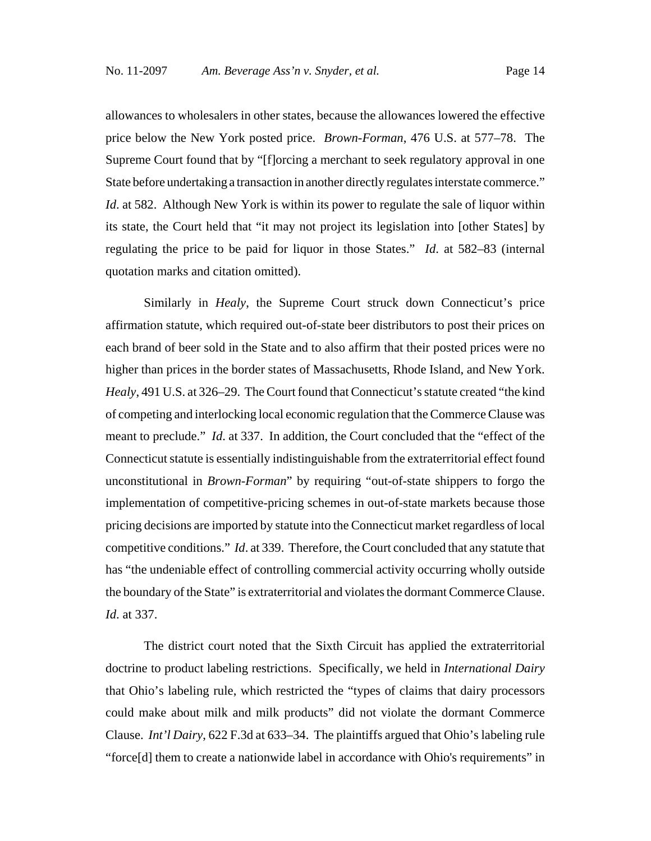allowances to wholesalers in other states, because the allowances lowered the effective price below the New York posted price. *Brown-Forman*, 476 U.S. at 577–78. The Supreme Court found that by "[f]orcing a merchant to seek regulatory approval in one State before undertaking a transaction in another directly regulates interstate commerce." *Id.* at 582. Although New York is within its power to regulate the sale of liquor within its state, the Court held that "it may not project its legislation into [other States] by regulating the price to be paid for liquor in those States." *Id*. at 582–83 (internal quotation marks and citation omitted).

Similarly in *Healy*, the Supreme Court struck down Connecticut's price affirmation statute, which required out-of-state beer distributors to post their prices on each brand of beer sold in the State and to also affirm that their posted prices were no higher than prices in the border states of Massachusetts, Rhode Island, and New York. *Healy*, 491 U.S. at 326–29. The Court found that Connecticut's statute created "the kind of competing and interlocking local economic regulation that the Commerce Clause was meant to preclude." *Id*. at 337. In addition, the Court concluded that the "effect of the Connecticut statute is essentially indistinguishable from the extraterritorial effect found unconstitutional in *Brown-Forman*" by requiring "out-of-state shippers to forgo the implementation of competitive-pricing schemes in out-of-state markets because those pricing decisions are imported by statute into the Connecticut market regardless of local competitive conditions." *Id*. at 339. Therefore, the Court concluded that any statute that has "the undeniable effect of controlling commercial activity occurring wholly outside the boundary of the State" is extraterritorial and violates the dormant Commerce Clause. *Id*. at 337.

The district court noted that the Sixth Circuit has applied the extraterritorial doctrine to product labeling restrictions. Specifically, we held in *International Dairy* that Ohio's labeling rule, which restricted the "types of claims that dairy processors could make about milk and milk products" did not violate the dormant Commerce Clause. *Int'l Dairy*, 622 F.3d at 633–34. The plaintiffs argued that Ohio's labeling rule "force[d] them to create a nationwide label in accordance with Ohio's requirements" in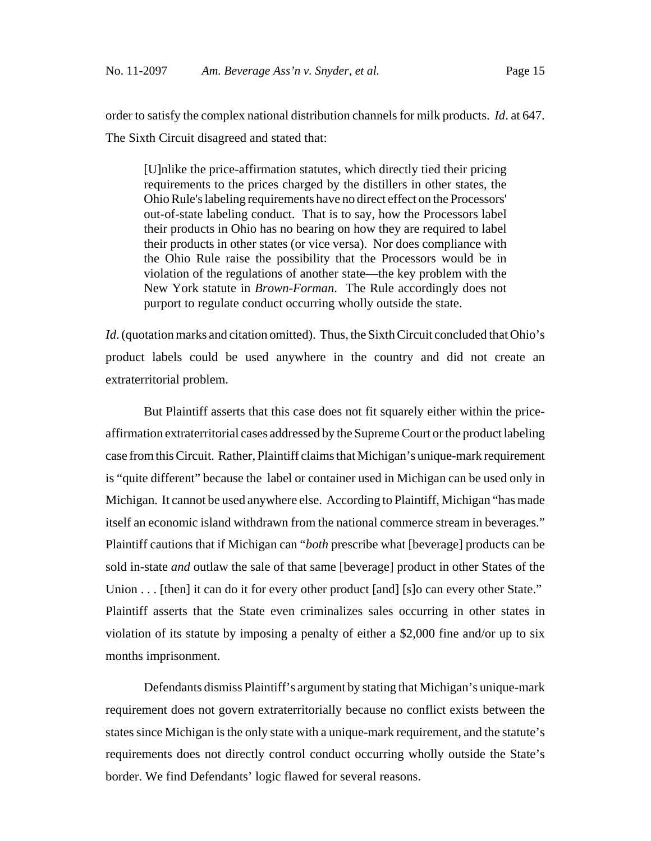order to satisfy the complex national distribution channels for milk products. *Id*. at 647. The Sixth Circuit disagreed and stated that:

[U]nlike the price-affirmation statutes, which directly tied their pricing requirements to the prices charged by the distillers in other states, the Ohio Rule's labeling requirements have no direct effect on the Processors' out-of-state labeling conduct. That is to say, how the Processors label their products in Ohio has no bearing on how they are required to label their products in other states (or vice versa). Nor does compliance with the Ohio Rule raise the possibility that the Processors would be in violation of the regulations of another state—the key problem with the New York statute in *Brown-Forman*. The Rule accordingly does not purport to regulate conduct occurring wholly outside the state.

*Id.* (quotation marks and citation omitted). Thus, the Sixth Circuit concluded that Ohio's product labels could be used anywhere in the country and did not create an extraterritorial problem.

But Plaintiff asserts that this case does not fit squarely either within the priceaffirmation extraterritorial cases addressed by the Supreme Court or the product labeling case from this Circuit. Rather, Plaintiff claims that Michigan's unique-mark requirement is "quite different" because the label or container used in Michigan can be used only in Michigan. It cannot be used anywhere else. According to Plaintiff, Michigan "has made itself an economic island withdrawn from the national commerce stream in beverages." Plaintiff cautions that if Michigan can "*both* prescribe what [beverage] products can be sold in-state *and* outlaw the sale of that same [beverage] product in other States of the Union . . . [then] it can do it for every other product [and] [s] o can every other State." Plaintiff asserts that the State even criminalizes sales occurring in other states in violation of its statute by imposing a penalty of either a \$2,000 fine and/or up to six months imprisonment.

Defendants dismiss Plaintiff's argument by stating that Michigan's unique-mark requirement does not govern extraterritorially because no conflict exists between the states since Michigan is the only state with a unique-mark requirement, and the statute's requirements does not directly control conduct occurring wholly outside the State's border. We find Defendants' logic flawed for several reasons.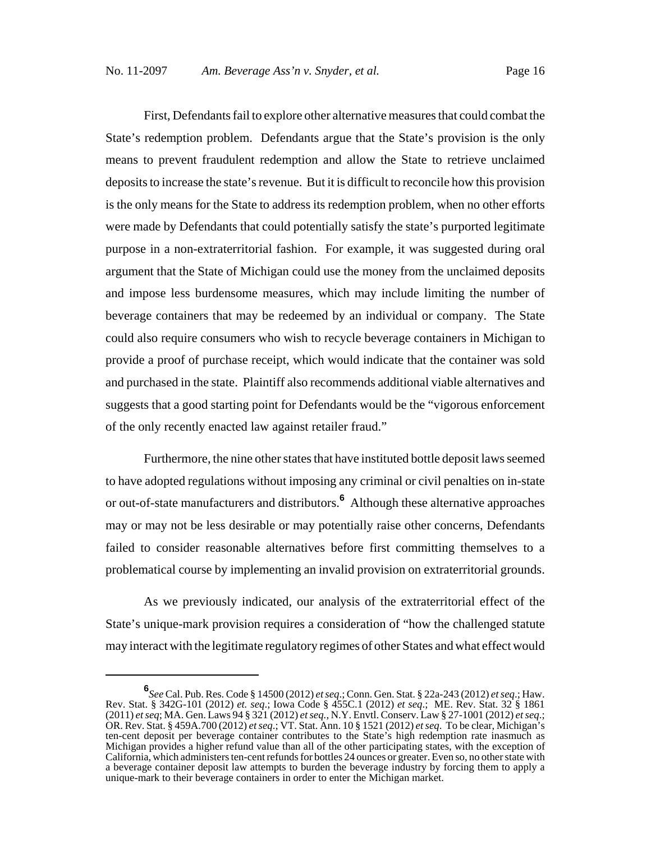First, Defendants fail to explore other alternative measures that could combat the State's redemption problem. Defendants argue that the State's provision is the only means to prevent fraudulent redemption and allow the State to retrieve unclaimed deposits to increase the state's revenue. But it is difficult to reconcile how this provision is the only means for the State to address its redemption problem, when no other efforts were made by Defendants that could potentially satisfy the state's purported legitimate purpose in a non-extraterritorial fashion. For example, it was suggested during oral argument that the State of Michigan could use the money from the unclaimed deposits and impose less burdensome measures, which may include limiting the number of beverage containers that may be redeemed by an individual or company. The State could also require consumers who wish to recycle beverage containers in Michigan to provide a proof of purchase receipt, which would indicate that the container was sold and purchased in the state. Plaintiff also recommends additional viable alternatives and suggests that a good starting point for Defendants would be the "vigorous enforcement of the only recently enacted law against retailer fraud."

Furthermore, the nine other states that have instituted bottle deposit laws seemed to have adopted regulations without imposing any criminal or civil penalties on in-state or out-of-state manufacturers and distributors.**<sup>6</sup>** Although these alternative approaches may or may not be less desirable or may potentially raise other concerns, Defendants failed to consider reasonable alternatives before first committing themselves to a problematical course by implementing an invalid provision on extraterritorial grounds.

As we previously indicated, our analysis of the extraterritorial effect of the State's unique-mark provision requires a consideration of "how the challenged statute may interact with the legitimate regulatory regimes of other States and what effect would

**<sup>6</sup>** *See* Cal. Pub. Res. Code § 14500 (2012) *et seq*.; Conn. Gen. Stat. § 22a-243 (2012) *et seq*.; Haw. Rev. Stat. § 342G-101 (2012) *et. seq*.; Iowa Code § 455C.1 (2012) *et seq*.; ME. Rev. Stat. 32 § 1861 (2011) *et seq*; MA. Gen. Laws 94 § 321 (2012) *et seq.*, N.Y. Envtl. Conserv. Law § 27-1001 (2012) *et seq*.; OR. Rev. Stat. § 459A.700 (2012) *et seq*.; VT. Stat. Ann. 10 § 1521 (2012) *et seq*. To be clear, Michigan's ten-cent deposit per beverage container contributes to the State's high redemption rate inasmuch as Michigan provides a higher refund value than all of the other participating states, with the exception of California, which administers ten-cent refunds for bottles 24 ounces or greater. Even so, no other state with a beverage container deposit law attempts to burden the beverage industry by forcing them to apply a unique-mark to their beverage containers in order to enter the Michigan market.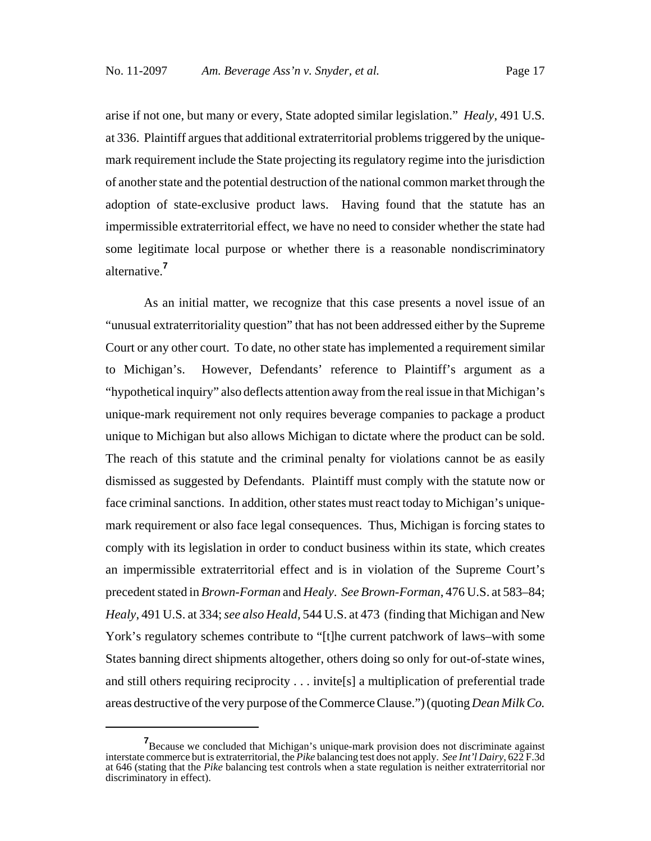arise if not one, but many or every, State adopted similar legislation." *Healy*, 491 U.S. at 336. Plaintiff argues that additional extraterritorial problems triggered by the uniquemark requirement include the State projecting its regulatory regime into the jurisdiction of another state and the potential destruction of the national common market through the adoption of state-exclusive product laws. Having found that the statute has an impermissible extraterritorial effect, we have no need to consider whether the state had some legitimate local purpose or whether there is a reasonable nondiscriminatory alternative.**<sup>7</sup>**

As an initial matter, we recognize that this case presents a novel issue of an "unusual extraterritoriality question" that has not been addressed either by the Supreme Court or any other court. To date, no other state has implemented a requirement similar to Michigan's. However, Defendants' reference to Plaintiff's argument as a "hypothetical inquiry" also deflects attention away from the real issue in that Michigan's unique-mark requirement not only requires beverage companies to package a product unique to Michigan but also allows Michigan to dictate where the product can be sold. The reach of this statute and the criminal penalty for violations cannot be as easily dismissed as suggested by Defendants. Plaintiff must comply with the statute now or face criminal sanctions. In addition, other states must react today to Michigan's uniquemark requirement or also face legal consequences. Thus, Michigan is forcing states to comply with its legislation in order to conduct business within its state, which creates an impermissible extraterritorial effect and is in violation of the Supreme Court's precedent stated in *Brown-Forman* and *Healy*. *See Brown-Forman*, 476 U.S. at 583–84; *Healy*, 491 U.S. at 334; *see also Heald,* 544 U.S. at 473 (finding that Michigan and New York's regulatory schemes contribute to "[t]he current patchwork of laws–with some States banning direct shipments altogether, others doing so only for out-of-state wines, and still others requiring reciprocity . . . invite[s] a multiplication of preferential trade areas destructive of the very purpose of the Commerce Clause.") (quoting *Dean Milk Co.*

**<sup>7</sup>** Because we concluded that Michigan's unique-mark provision does not discriminate against interstate commerce but is extraterritorial, the *Pike* balancing test does not apply. *See Int'l Dairy*, 622 F.3d at 646 (stating that the *Pike* balancing test controls when a state regulation is neither extraterritorial nor discriminatory in effect).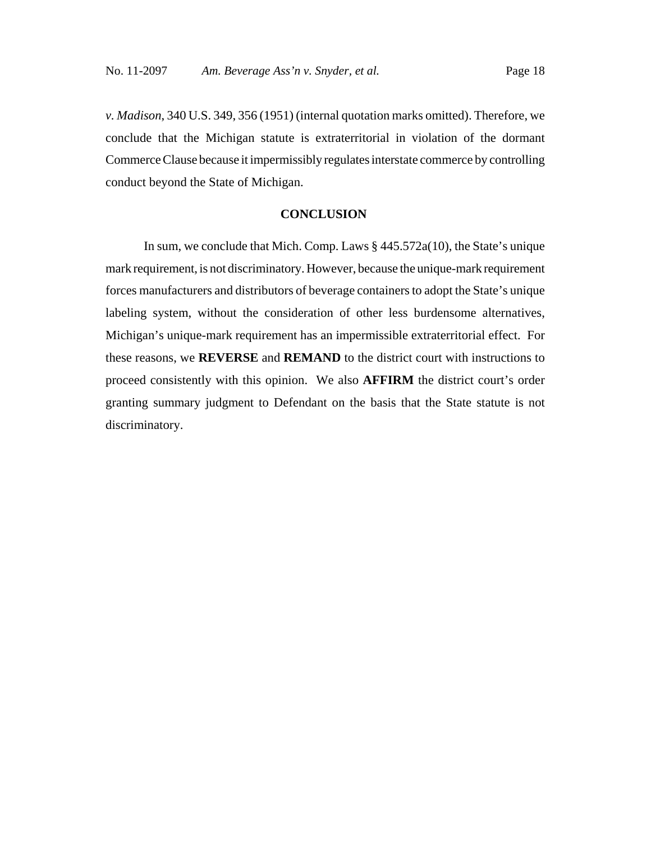*v. Madison*, 340 U.S. 349, 356 (1951) (internal quotation marks omitted). Therefore, we conclude that the Michigan statute is extraterritorial in violation of the dormant Commerce Clause because it impermissibly regulates interstate commerce by controlling conduct beyond the State of Michigan.

#### **CONCLUSION**

In sum, we conclude that Mich. Comp. Laws  $\S$  445.572a(10), the State's unique mark requirement, is not discriminatory. However, because the unique-mark requirement forces manufacturers and distributors of beverage containers to adopt the State's unique labeling system, without the consideration of other less burdensome alternatives, Michigan's unique-mark requirement has an impermissible extraterritorial effect. For these reasons, we **REVERSE** and **REMAND** to the district court with instructions to proceed consistently with this opinion. We also **AFFIRM** the district court's order granting summary judgment to Defendant on the basis that the State statute is not discriminatory.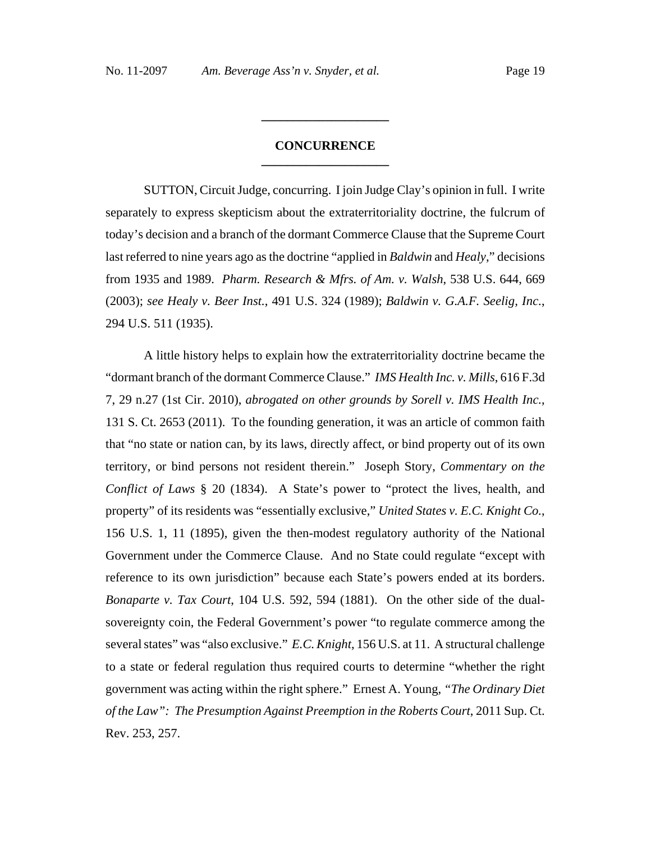# **CONCURRENCE \_\_\_\_\_\_\_\_\_\_\_\_\_\_\_\_\_\_\_\_**

**\_\_\_\_\_\_\_\_\_\_\_\_\_\_\_\_\_\_\_\_**

SUTTON, Circuit Judge, concurring. I join Judge Clay's opinion in full. I write separately to express skepticism about the extraterritoriality doctrine, the fulcrum of today's decision and a branch of the dormant Commerce Clause that the Supreme Court last referred to nine years ago as the doctrine "applied in *Baldwin* and *Healy*," decisions from 1935 and 1989. *Pharm. Research & Mfrs. of Am. v. Walsh*, 538 U.S. 644, 669 (2003); *see Healy v. Beer Inst.*, 491 U.S. 324 (1989); *Baldwin v. G.A.F. Seelig, Inc.*, 294 U.S. 511 (1935).

A little history helps to explain how the extraterritoriality doctrine became the "dormant branch of the dormant Commerce Clause." *IMS Health Inc. v. Mills*, 616 F.3d 7, 29 n.27 (1st Cir. 2010), *abrogated on other grounds by Sorell v. IMS Health Inc.*, 131 S. Ct. 2653 (2011). To the founding generation, it was an article of common faith that "no state or nation can, by its laws, directly affect, or bind property out of its own territory, or bind persons not resident therein." Joseph Story, *Commentary on the Conflict of Laws* § 20 (1834). A State's power to "protect the lives, health, and property" of its residents was "essentially exclusive," *United States v. E.C. Knight Co.*, 156 U.S. 1, 11 (1895), given the then-modest regulatory authority of the National Government under the Commerce Clause. And no State could regulate "except with reference to its own jurisdiction" because each State's powers ended at its borders. *Bonaparte v. Tax Court*, 104 U.S. 592, 594 (1881). On the other side of the dualsovereignty coin, the Federal Government's power "to regulate commerce among the several states" was "also exclusive." *E.C. Knight*, 156 U.S. at 11. A structural challenge to a state or federal regulation thus required courts to determine "whether the right government was acting within the right sphere." Ernest A. Young, *"The Ordinary Diet of the Law": The Presumption Against Preemption in the Roberts Court*, 2011 Sup. Ct. Rev. 253, 257.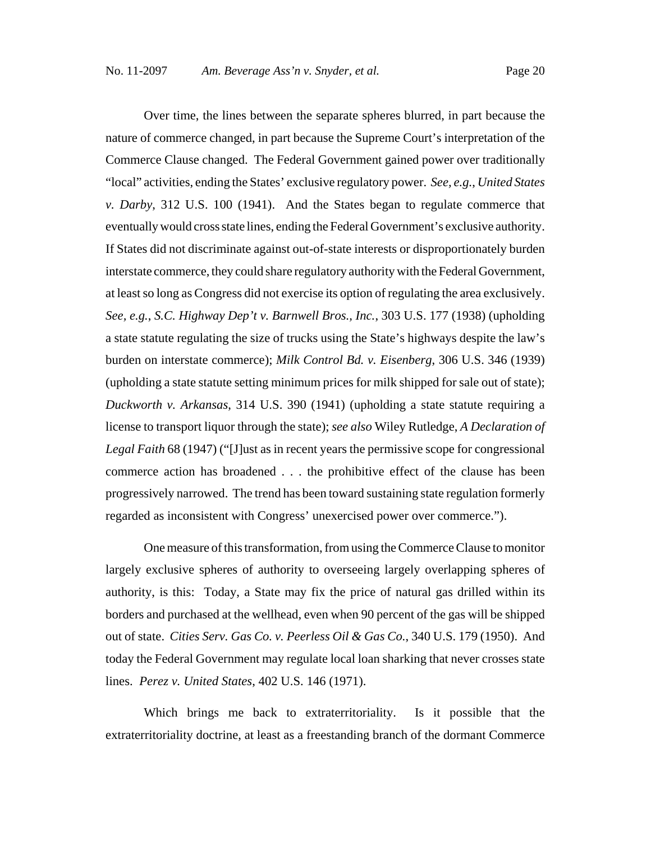Over time, the lines between the separate spheres blurred, in part because the nature of commerce changed, in part because the Supreme Court's interpretation of the Commerce Clause changed. The Federal Government gained power over traditionally "local" activities, ending the States' exclusive regulatory power. *See, e.g.*, *United States v. Darby*, 312 U.S. 100 (1941). And the States began to regulate commerce that eventually would cross state lines, ending the Federal Government's exclusive authority. If States did not discriminate against out-of-state interests or disproportionately burden interstate commerce, they could share regulatory authority with the Federal Government, at least so long as Congress did not exercise its option of regulating the area exclusively. *See, e.g.*, *S.C. Highway Dep't v. Barnwell Bros., Inc.*, 303 U.S. 177 (1938) (upholding a state statute regulating the size of trucks using the State's highways despite the law's burden on interstate commerce); *Milk Control Bd. v. Eisenberg*, 306 U.S. 346 (1939) (upholding a state statute setting minimum prices for milk shipped for sale out of state); *Duckworth v. Arkansas*, 314 U.S. 390 (1941) (upholding a state statute requiring a license to transport liquor through the state); *see also* Wiley Rutledge, *A Declaration of Legal Faith* 68 (1947) ("[J]ust as in recent years the permissive scope for congressional commerce action has broadened . . . the prohibitive effect of the clause has been progressively narrowed. The trend has been toward sustaining state regulation formerly regarded as inconsistent with Congress' unexercised power over commerce.").

One measure of this transformation, from using the Commerce Clause to monitor largely exclusive spheres of authority to overseeing largely overlapping spheres of authority, is this: Today, a State may fix the price of natural gas drilled within its borders and purchased at the wellhead, even when 90 percent of the gas will be shipped out of state. *Cities Serv. Gas Co. v. Peerless Oil & Gas Co.*, 340 U.S. 179 (1950). And today the Federal Government may regulate local loan sharking that never crosses state lines. *Perez v. United States*, 402 U.S. 146 (1971).

Which brings me back to extraterritoriality. Is it possible that the extraterritoriality doctrine, at least as a freestanding branch of the dormant Commerce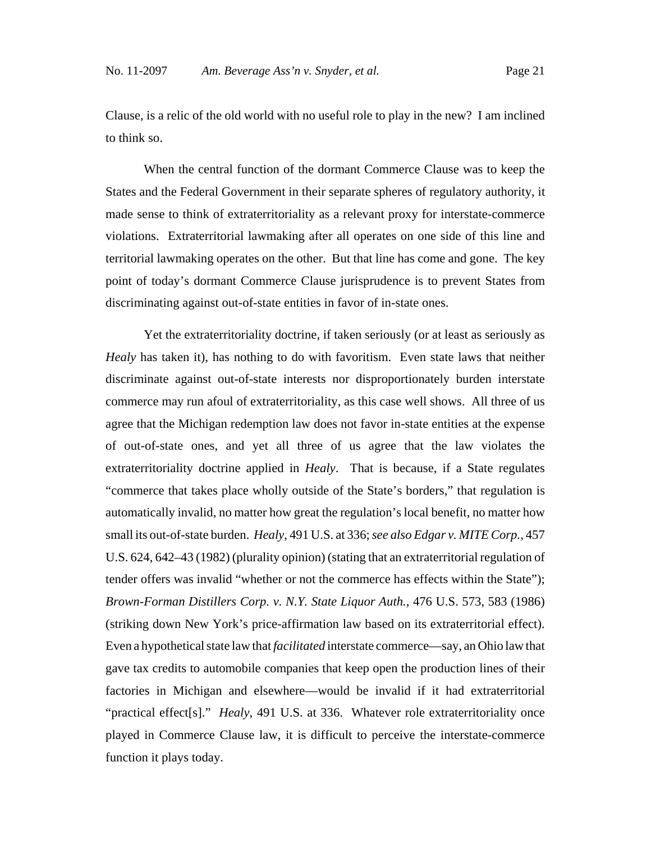Clause, is a relic of the old world with no useful role to play in the new? I am inclined to think so.

When the central function of the dormant Commerce Clause was to keep the States and the Federal Government in their separate spheres of regulatory authority, it made sense to think of extraterritoriality as a relevant proxy for interstate-commerce violations. Extraterritorial lawmaking after all operates on one side of this line and territorial lawmaking operates on the other. But that line has come and gone. The key point of today's dormant Commerce Clause jurisprudence is to prevent States from discriminating against out-of-state entities in favor of in-state ones.

Yet the extraterritoriality doctrine, if taken seriously (or at least as seriously as *Healy* has taken it), has nothing to do with favoritism. Even state laws that neither discriminate against out-of-state interests nor disproportionately burden interstate commerce may run afoul of extraterritoriality, as this case well shows. All three of us agree that the Michigan redemption law does not favor in-state entities at the expense of out-of-state ones, and yet all three of us agree that the law violates the extraterritoriality doctrine applied in *Healy*. That is because, if a State regulates "commerce that takes place wholly outside of the State's borders," that regulation is automatically invalid, no matter how great the regulation's local benefit, no matter how small its out-of-state burden. *Healy*, 491 U.S. at 336; *see also Edgar v. MITE Corp.*, 457 U.S. 624, 642–43 (1982) (plurality opinion) (stating that an extraterritorial regulation of tender offers was invalid "whether or not the commerce has effects within the State"); *Brown-Forman Distillers Corp. v. N.Y. State Liquor Auth.*, 476 U.S. 573, 583 (1986) (striking down New York's price-affirmation law based on its extraterritorial effect). Even a hypothetical state law that *facilitated* interstate commerce—say, an Ohio law that gave tax credits to automobile companies that keep open the production lines of their factories in Michigan and elsewhere—would be invalid if it had extraterritorial "practical effect[s]." *Healy*, 491 U.S. at 336. Whatever role extraterritoriality once played in Commerce Clause law, it is difficult to perceive the interstate-commerce function it plays today.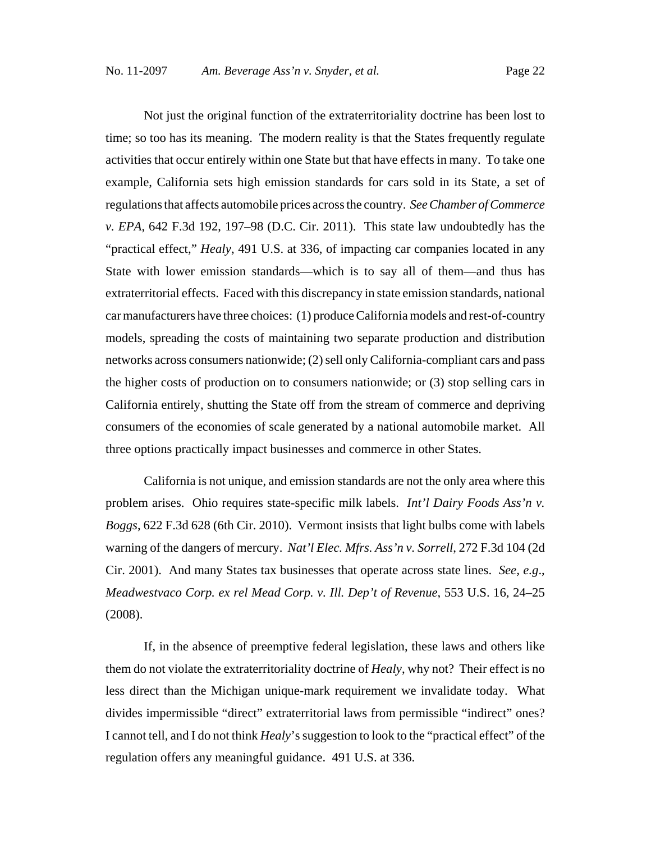Not just the original function of the extraterritoriality doctrine has been lost to time; so too has its meaning. The modern reality is that the States frequently regulate activities that occur entirely within one State but that have effects in many. To take one example, California sets high emission standards for cars sold in its State, a set of regulations that affects automobile prices across the country. *See Chamber of Commerce v. EPA*, 642 F.3d 192, 197–98 (D.C. Cir. 2011). This state law undoubtedly has the "practical effect," *Healy*, 491 U.S. at 336, of impacting car companies located in any State with lower emission standards—which is to say all of them—and thus has extraterritorial effects. Faced with this discrepancy in state emission standards, national car manufacturers have three choices: (1) produce California models and rest-of-country models, spreading the costs of maintaining two separate production and distribution networks across consumers nationwide; (2) sell only California-compliant cars and pass the higher costs of production on to consumers nationwide; or (3) stop selling cars in California entirely, shutting the State off from the stream of commerce and depriving consumers of the economies of scale generated by a national automobile market. All three options practically impact businesses and commerce in other States.

California is not unique, and emission standards are not the only area where this problem arises. Ohio requires state-specific milk labels. *Int'l Dairy Foods Ass'n v. Boggs*, 622 F.3d 628 (6th Cir. 2010). Vermont insists that light bulbs come with labels warning of the dangers of mercury. *Nat'l Elec. Mfrs. Ass'n v. Sorrell*, 272 F.3d 104 (2d Cir. 2001). And many States tax businesses that operate across state lines. *See, e.g*., *Meadwestvaco Corp. ex rel Mead Corp. v. Ill. Dep't of Revenue*, 553 U.S. 16, 24–25 (2008).

If, in the absence of preemptive federal legislation, these laws and others like them do not violate the extraterritoriality doctrine of *Healy*, why not? Their effect is no less direct than the Michigan unique-mark requirement we invalidate today. What divides impermissible "direct" extraterritorial laws from permissible "indirect" ones? I cannot tell, and I do not think *Healy*'s suggestion to look to the "practical effect" of the regulation offers any meaningful guidance. 491 U.S. at 336.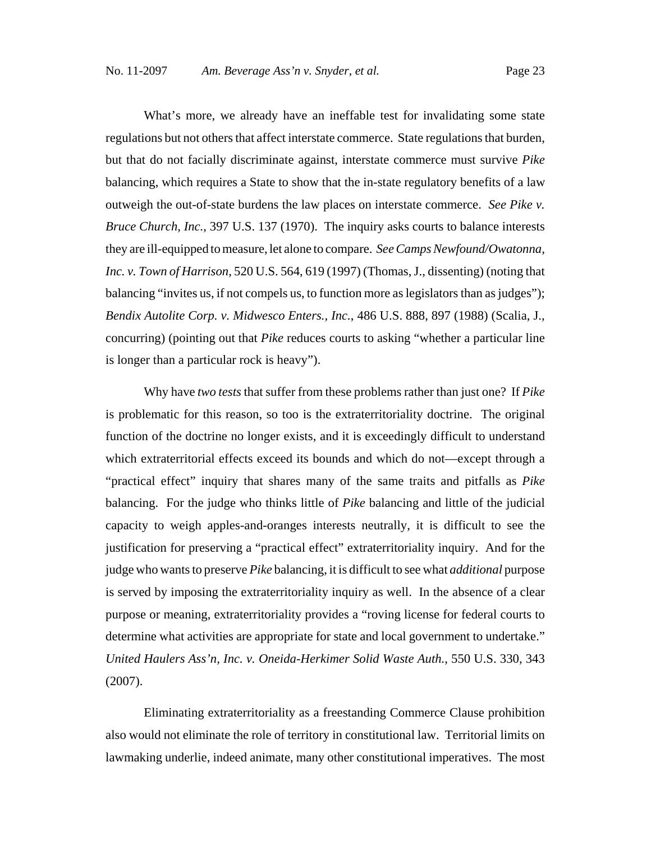What's more, we already have an ineffable test for invalidating some state regulations but not others that affect interstate commerce. State regulations that burden, but that do not facially discriminate against, interstate commerce must survive *Pike* balancing, which requires a State to show that the in-state regulatory benefits of a law outweigh the out-of-state burdens the law places on interstate commerce. *See Pike v. Bruce Church, Inc.*, 397 U.S. 137 (1970). The inquiry asks courts to balance interests they are ill-equipped to measure, let alone to compare. *See Camps Newfound/Owatonna, Inc. v. Town of Harrison*, 520 U.S. 564, 619 (1997) (Thomas, J., dissenting) (noting that balancing "invites us, if not compels us, to function more as legislators than as judges"); *Bendix Autolite Corp. v. Midwesco Enters., Inc.*, 486 U.S. 888, 897 (1988) (Scalia, J., concurring) (pointing out that *Pike* reduces courts to asking "whether a particular line is longer than a particular rock is heavy").

Why have *two tests* that suffer from these problems rather than just one? If *Pike* is problematic for this reason, so too is the extraterritoriality doctrine. The original function of the doctrine no longer exists, and it is exceedingly difficult to understand which extraterritorial effects exceed its bounds and which do not—except through a "practical effect" inquiry that shares many of the same traits and pitfalls as *Pike* balancing. For the judge who thinks little of *Pike* balancing and little of the judicial capacity to weigh apples-and-oranges interests neutrally, it is difficult to see the justification for preserving a "practical effect" extraterritoriality inquiry. And for the judge who wants to preserve *Pike* balancing, it is difficult to see what *additional* purpose is served by imposing the extraterritoriality inquiry as well. In the absence of a clear purpose or meaning, extraterritoriality provides a "roving license for federal courts to determine what activities are appropriate for state and local government to undertake." *United Haulers Ass'n, Inc. v. Oneida-Herkimer Solid Waste Auth.*, 550 U.S. 330, 343 (2007).

Eliminating extraterritoriality as a freestanding Commerce Clause prohibition also would not eliminate the role of territory in constitutional law. Territorial limits on lawmaking underlie, indeed animate, many other constitutional imperatives. The most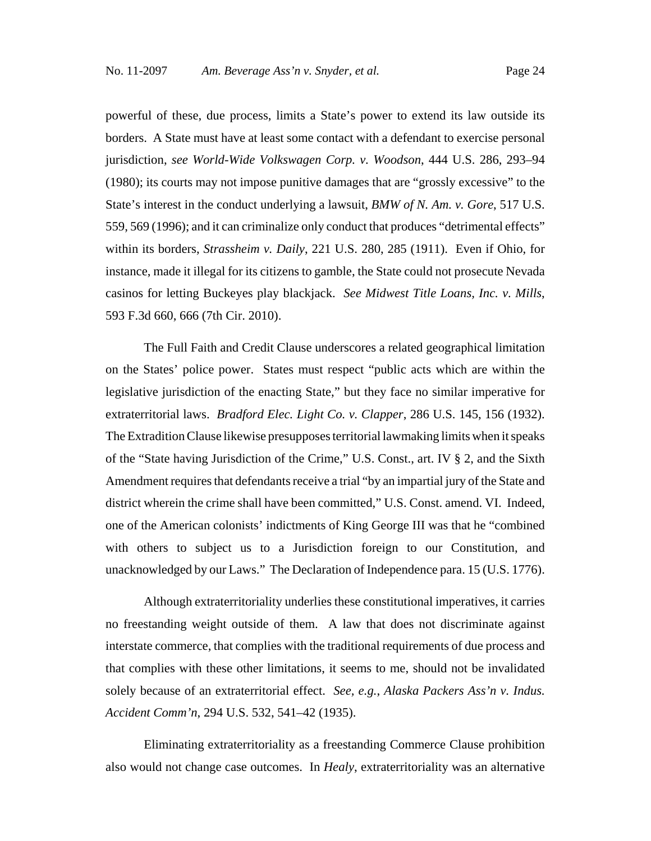powerful of these, due process, limits a State's power to extend its law outside its borders. A State must have at least some contact with a defendant to exercise personal jurisdiction, *see World-Wide Volkswagen Corp. v. Woodson*, 444 U.S. 286, 293–94 (1980); its courts may not impose punitive damages that are "grossly excessive" to the State's interest in the conduct underlying a lawsuit, *BMW of N. Am. v. Gore*, 517 U.S. 559, 569 (1996); and it can criminalize only conduct that produces "detrimental effects" within its borders, *Strassheim v. Daily*, 221 U.S. 280, 285 (1911). Even if Ohio, for instance, made it illegal for its citizens to gamble, the State could not prosecute Nevada casinos for letting Buckeyes play blackjack. *See Midwest Title Loans, Inc. v. Mills*, 593 F.3d 660, 666 (7th Cir. 2010).

The Full Faith and Credit Clause underscores a related geographical limitation on the States' police power. States must respect "public acts which are within the legislative jurisdiction of the enacting State," but they face no similar imperative for extraterritorial laws. *Bradford Elec. Light Co. v. Clapper*, 286 U.S. 145, 156 (1932). The Extradition Clause likewise presupposes territorial lawmaking limits when it speaks of the "State having Jurisdiction of the Crime," U.S. Const., art. IV § 2, and the Sixth Amendment requires that defendants receive a trial "by an impartial jury of the State and district wherein the crime shall have been committed," U.S. Const. amend. VI. Indeed, one of the American colonists' indictments of King George III was that he "combined with others to subject us to a Jurisdiction foreign to our Constitution, and unacknowledged by our Laws." The Declaration of Independence para. 15 (U.S. 1776).

Although extraterritoriality underlies these constitutional imperatives, it carries no freestanding weight outside of them. A law that does not discriminate against interstate commerce, that complies with the traditional requirements of due process and that complies with these other limitations, it seems to me, should not be invalidated solely because of an extraterritorial effect. *See, e.g.*, *Alaska Packers Ass'n v. Indus. Accident Comm'n*, 294 U.S. 532, 541–42 (1935).

Eliminating extraterritoriality as a freestanding Commerce Clause prohibition also would not change case outcomes. In *Healy*, extraterritoriality was an alternative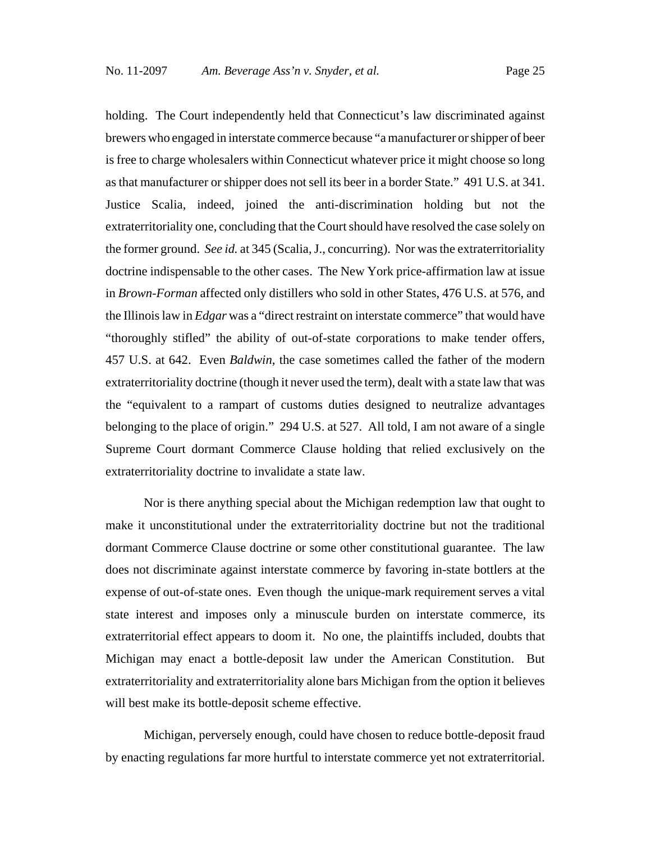holding. The Court independently held that Connecticut's law discriminated against brewers who engaged in interstate commerce because "a manufacturer or shipper of beer is free to charge wholesalers within Connecticut whatever price it might choose so long as that manufacturer or shipper does not sell its beer in a border State." 491 U.S. at 341. Justice Scalia, indeed, joined the anti-discrimination holding but not the extraterritoriality one, concluding that the Court should have resolved the case solely on the former ground. *See id.* at 345 (Scalia, J., concurring). Nor was the extraterritoriality doctrine indispensable to the other cases. The New York price-affirmation law at issue in *Brown-Forman* affected only distillers who sold in other States, 476 U.S. at 576, and the Illinois law in *Edgar* was a "direct restraint on interstate commerce" that would have "thoroughly stifled" the ability of out-of-state corporations to make tender offers, 457 U.S. at 642. Even *Baldwin*, the case sometimes called the father of the modern extraterritoriality doctrine (though it never used the term), dealt with a state law that was the "equivalent to a rampart of customs duties designed to neutralize advantages belonging to the place of origin." 294 U.S. at 527. All told, I am not aware of a single Supreme Court dormant Commerce Clause holding that relied exclusively on the extraterritoriality doctrine to invalidate a state law.

Nor is there anything special about the Michigan redemption law that ought to make it unconstitutional under the extraterritoriality doctrine but not the traditional dormant Commerce Clause doctrine or some other constitutional guarantee. The law does not discriminate against interstate commerce by favoring in-state bottlers at the expense of out-of-state ones. Even though the unique-mark requirement serves a vital state interest and imposes only a minuscule burden on interstate commerce, its extraterritorial effect appears to doom it. No one, the plaintiffs included, doubts that Michigan may enact a bottle-deposit law under the American Constitution. But extraterritoriality and extraterritoriality alone bars Michigan from the option it believes will best make its bottle-deposit scheme effective.

Michigan, perversely enough, could have chosen to reduce bottle-deposit fraud by enacting regulations far more hurtful to interstate commerce yet not extraterritorial.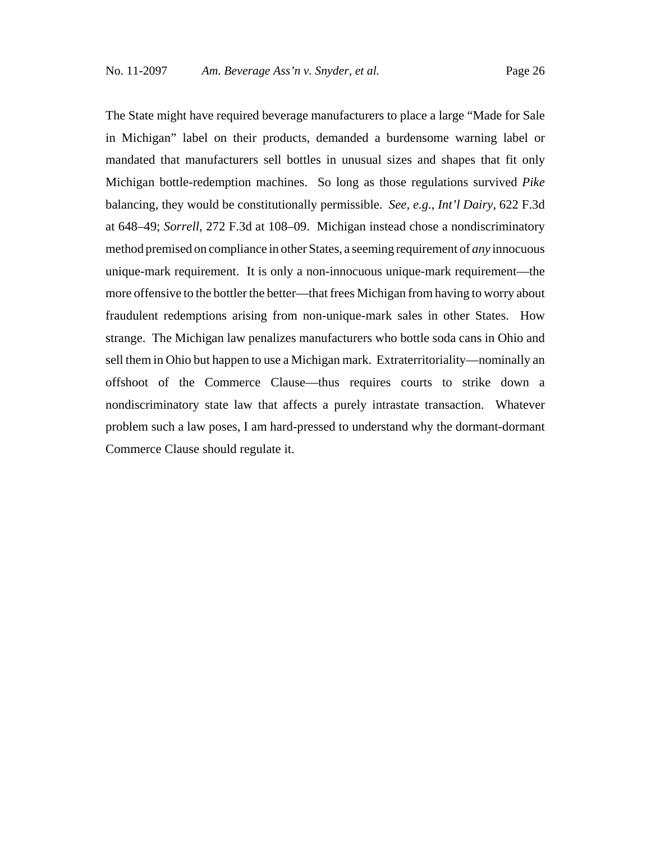The State might have required beverage manufacturers to place a large "Made for Sale in Michigan" label on their products, demanded a burdensome warning label or mandated that manufacturers sell bottles in unusual sizes and shapes that fit only Michigan bottle-redemption machines. So long as those regulations survived *Pike* balancing, they would be constitutionally permissible. *See, e.g.*, *Int'l Dairy*, 622 F.3d at 648–49; *Sorrell*, 272 F.3d at 108–09. Michigan instead chose a nondiscriminatory method premised on compliance in other States, a seeming requirement of *any* innocuous unique-mark requirement. It is only a non-innocuous unique-mark requirement—the more offensive to the bottler the better—that frees Michigan from having to worry about fraudulent redemptions arising from non-unique-mark sales in other States. How strange. The Michigan law penalizes manufacturers who bottle soda cans in Ohio and sell them in Ohio but happen to use a Michigan mark. Extraterritoriality—nominally an offshoot of the Commerce Clause—thus requires courts to strike down a nondiscriminatory state law that affects a purely intrastate transaction. Whatever problem such a law poses, I am hard-pressed to understand why the dormant-dormant Commerce Clause should regulate it.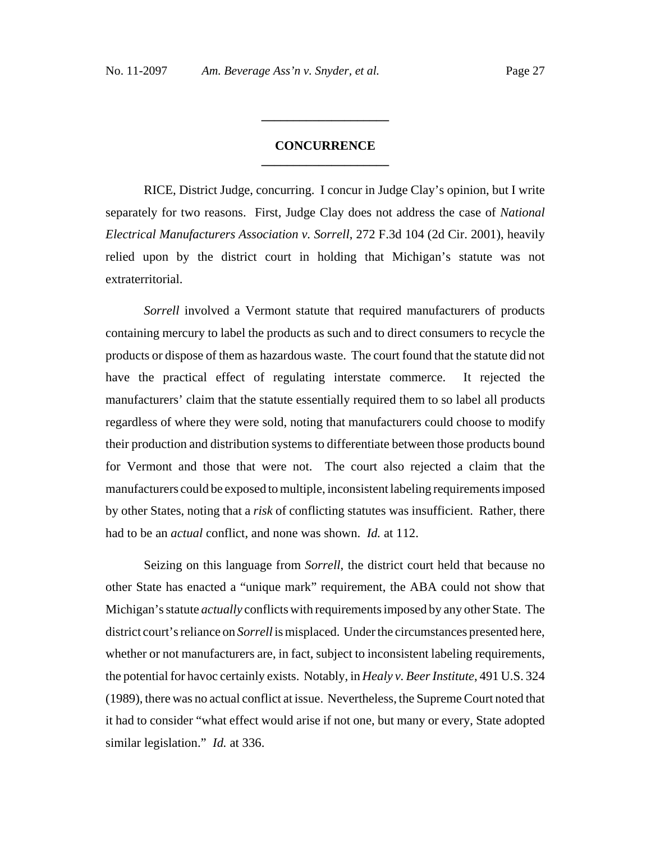# **CONCURRENCE \_\_\_\_\_\_\_\_\_\_\_\_\_\_\_\_\_\_\_\_**

**\_\_\_\_\_\_\_\_\_\_\_\_\_\_\_\_\_\_\_\_**

RICE, District Judge, concurring. I concur in Judge Clay's opinion, but I write separately for two reasons. First, Judge Clay does not address the case of *National Electrical Manufacturers Association v. Sorrell*, 272 F.3d 104 (2d Cir. 2001), heavily relied upon by the district court in holding that Michigan's statute was not extraterritorial.

*Sorrell* involved a Vermont statute that required manufacturers of products containing mercury to label the products as such and to direct consumers to recycle the products or dispose of them as hazardous waste. The court found that the statute did not have the practical effect of regulating interstate commerce. It rejected the manufacturers' claim that the statute essentially required them to so label all products regardless of where they were sold, noting that manufacturers could choose to modify their production and distribution systems to differentiate between those products bound for Vermont and those that were not. The court also rejected a claim that the manufacturers could be exposed to multiple, inconsistent labeling requirements imposed by other States, noting that a *risk* of conflicting statutes was insufficient. Rather, there had to be an *actual* conflict, and none was shown. *Id.* at 112.

Seizing on this language from *Sorrell*, the district court held that because no other State has enacted a "unique mark" requirement, the ABA could not show that Michigan's statute *actually* conflicts with requirements imposed by any other State. The district court's reliance on *Sorrell* is misplaced. Under the circumstances presented here, whether or not manufacturers are, in fact, subject to inconsistent labeling requirements, the potential for havoc certainly exists. Notably, in *Healy v. Beer Institute*, 491 U.S. 324 (1989), there was no actual conflict at issue. Nevertheless, the Supreme Court noted that it had to consider "what effect would arise if not one, but many or every, State adopted similar legislation." *Id.* at 336.